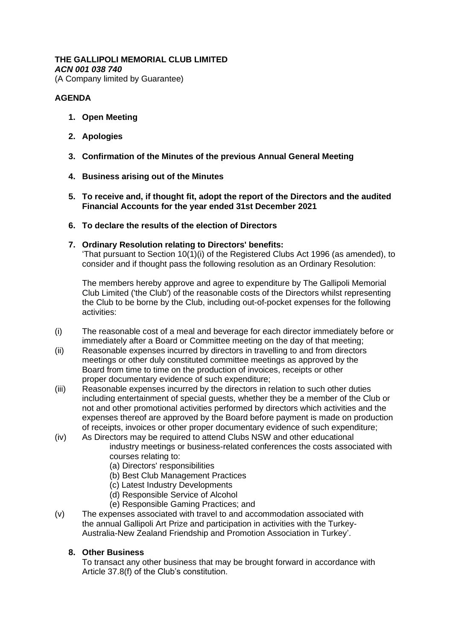# **THE GALLIPOLI MEMORIAL CLUB LIMITED**

*ACN 001 038 740*

(A Company limited by Guarantee)

# **AGENDA**

- **1. Open Meeting**
- **2. Apologies**
- **3. Confirmation of the Minutes of the previous Annual General Meeting**
- **4. Business arising out of the Minutes**
- **5. To receive and, if thought fit, adopt the report of the Directors and the audited Financial Accounts for the year ended 31st December 2021**
- **6. To declare the results of the election of Directors**

## **7. Ordinary Resolution relating to Directors' benefits:**

'That pursuant to Section 10(1)(i) of the Registered Clubs Act 1996 (as amended), to consider and if thought pass the following resolution as an Ordinary Resolution:

The members hereby approve and agree to expenditure by The Gallipoli Memorial Club Limited ('the Club') of the reasonable costs of the Directors whilst representing the Club to be borne by the Club, including out-of-pocket expenses for the following activities:

- (i) The reasonable cost of a meal and beverage for each director immediately before or immediately after a Board or Committee meeting on the day of that meeting;
- (ii) Reasonable expenses incurred by directors in travelling to and from directors meetings or other duly constituted committee meetings as approved by the Board from time to time on the production of invoices, receipts or other proper documentary evidence of such expenditure;
- (iii) Reasonable expenses incurred by the directors in relation to such other duties including entertainment of special guests, whether they be a member of the Club or not and other promotional activities performed by directors which activities and the expenses thereof are approved by the Board before payment is made on production of receipts, invoices or other proper documentary evidence of such expenditure;
- (iv) As Directors may be required to attend Clubs NSW and other educational industry meetings or business-related conferences the costs associated with courses relating to:
	- (a) Directors' responsibilities
	- (b) Best Club Management Practices
	- (c) Latest Industry Developments
	- (d) Responsible Service of Alcohol
	- (e) Responsible Gaming Practices; and
- (v) The expenses associated with travel to and accommodation associated with the annual Gallipoli Art Prize and participation in activities with the Turkey-Australia-New Zealand Friendship and Promotion Association in Turkey'.

### **8. Other Business**

To transact any other business that may be brought forward in accordance with Article 37.8(f) of the Club's constitution.